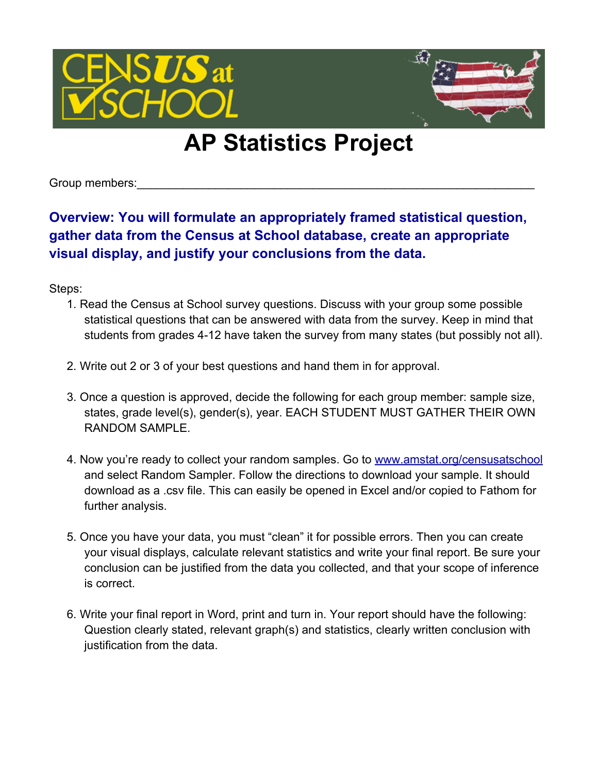

## **AP Statistics Project**

Group members:

**Overview: You will formulate an appropriately framed statistical question, gather data from the Census at School database, create an appropriate visual display, and justify your conclusions from the data.**

Steps:

- 1. Read the Census at School survey questions. Discuss with your group some possible statistical questions that can be answered with data from the survey. Keep in mind that students from grades 4-12 have taken the survey from many states (but possibly not all).
- 2. Write out 2 or 3 of your best questions and hand them in for approval.
- 3. Once a question is approved, decide the following for each group member: sample size, states, grade level(s), gender(s), year. EACH STUDENT MUST GATHER THEIR OWN RANDOM SAMPLE.
- 4. Now you're ready to collect your random samples. Go to [www.amstat.org/censusatschool](http://www.amstat.org/censusatschool) and select Random Sampler. Follow the directions to download your sample. It should download as a .csv file. This can easily be opened in Excel and/or copied to Fathom for further analysis.
- 5. Once you have your data, you must "clean" it for possible errors. Then you can create your visual displays, calculate relevant statistics and write your final report. Be sure your conclusion can be justified from the data you collected, and that your scope of inference is correct.
- 6. Write your final report in Word, print and turn in. Your report should have the following: Question clearly stated, relevant graph(s) and statistics, clearly written conclusion with justification from the data.